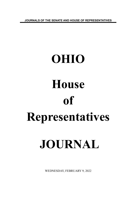**JOURNALS OF THE SENATE AND HOUSE OF REPRESENTATIVES**

# **OHIO House of Representatives JOURNAL**

WEDNESDAY, FEBRUARY 9, 2022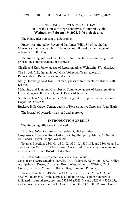# ONE HUNDRED TWENTY-SIXTH DAY Hall of the House of Representatives, Columbus, Ohio **Wednesday, February 9, 2022, 9:00 o'clock a.m.**

The House met pursuant to adjournment.

Prayer was offered by Reverend Dr. James Willis Sr. of the St. Paul Missionary Baptist Church in Toledo, Ohio, followed by the Pledge of Allegiance to the Flag.

The following guests of the House of Representatives were recognized prior to the commencement of business:

Charlie and Kurt Falke, guests of Representatives Weinstein- 37th district.

The St. John's Lutheran School Girls Volleyball Team, guests of Representative Richardson- 86th district.

Molly Hornberger and Josh Hickman, guests of Representative Russo- 24th **District** 

Mahoning and Trumbull Chamber of Commerce, guests of Representatives Lepore-Hagan- 58th district, and O'Brien- 64th district.

Struthers Ohio Mayor Catherine Miller, a guest of Representative Lepore-Hagan- 58th district.

Buckeye Hills Career Center, guests of Representative Stephens- 93rd district.

The journal of yesterday was read and approved.

# **INTRODUCTION OF BILLS**

The following bills were introduced:

**H. B. No. 565 -** Representatives Sobecki, Hicks-Hudson. Cosponsors: Representatives Liston, Sheehy, Humphrey, Miller, A., Smith, M., Lepore-Hagan, Hoops, Weinstein.

To amend sections 3301.01, 3301.02, 3301.03, 3301.04, and 3301.06 and to enact section 3301.013 of the Revised Code to add five students as nonvoting members to the State Board of Education.

**H. B. No. 566 -** Representatives Blackshear, White.

Cosponsors: Representatives Jarrells, Troy, Galonski, Kelly, Smith, K., Miller, A., Upchurch, Russo, Crossman, Boyd, West, Miller, J., O'Brien, Click, Creech, Stephens, Young, T., Riedel, Ray, Lampton, Plummer.

To amend sections 319.202, 323.131, 5323.01, 5323.02, 5323.03, and 5323.99; to amend, for the purpose of adopting new section numbers as indicated in parentheses, sections 5323.03 (5323.04) and 5323.04 (5323.05); and to enact new section 5323.03 and section 319.542 of the Revised Code to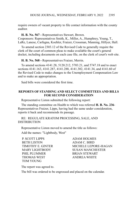require owners of vacant property to file contact information with the county auditor.

### **H. B. No. 567 -** Representatives Stewart, Brown.

Cosponsors: Representatives Smith, K., Miller, A., Humphrey, Young, T., LaRe, Lanese, Carfagna, Koehler, Fraizer, Crossman, Manning, Hillyer, Hall.

To amend section 2303.12 of the Revised Code to generally require the clerk of the court of common pleas to make available the court's general docket, including documents on each case file, on the clerk of court's web site.

**H. B. No. 568 -** Representatives Fraizer, Merrin.

To amend sections 4141.28, 5120.212, 5703.21, and 5747.18 and to enact sections 4141.163, 4141.287, 4141.288, 4141.302, 4141.34, and 4141.60 of the Revised Code to make changes to the Unemployment Compensation Law and to make an appropriation.

Said bills were considered the first time.

# **REPORTS OF STANDING AND SELECT COMMITTEES AND BILLS FOR SECOND CONSIDERATION**

Representative Liston submitted the following report:

The standing committee on Health to which was referred **H. B. No. 236**- Representatives Fraizer, Lipps, having had the same under consideration, reports it back and recommends its passage.

RE: REGULATE KRATOM PROCESSING, SALE, AND DISTRIBUTION

Representative Liston moved to amend the title as follows:

Add the names: "Lightbody, West"

P. SCOTT LIPPS ADAM HOLMES BETH LISTON ADAM C. BIRD PHIL PLUMMER
BRIAN STEWART THOMAS WEST ANDREA WHITE TOM YOUNG

TIMOTHY E. GINTER MICHELE LEPORE-HAGAN MARY LIGHTBODY SUSAN MANCHESTER

The report was agreed to.

The bill was ordered to be engrossed and placed on the calendar.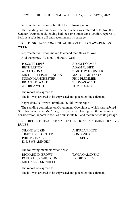Representative Liston submitted the following report:

The standing committee on Health to which was referred **S. B. No. 11**- Senator Brenner, et al., having had the same under consideration, reports it back as a substitute bill and recommends its passage.

RE: DESIGNATE CONGENITAL HEART DEFECT AWARENESS WEEK

Representative Liston moved to amend the title as follows:

Add the names: "Liston, Lightbody, West"

| <b>P. SCOTT LIPPS</b>   |
|-------------------------|
| <b>BETH LISTON</b>      |
| AL CUTRONA              |
| MICHELE LEPORE-HAGAN    |
| <b>SUSAN MANCHESTER</b> |
| <b>BRIAN STEWART</b>    |
| <b>ANDREA WHITE</b>     |
|                         |

**ADAM HOLMES** ADAM C. BIRD TIMOTHY E. GINTER MARY LIGHTBODY PHIL PLUMMER **THOMAS WEST** TOM YOUNG

The report was agreed to.

The bill was ordered to be engrossed and placed on the calendar.

Representative Brown submitted the following report:

The standing committee on Government Oversight to which was referred **S. B. No. 9**-Senators McColley, Roegner, et al., having had the same under consideration, reports it back as a substitute bill and recommends its passage.

RE: REDUCE REGULATORY RESTRICTIONS IN ADMINISTRATIVE RULES

SHANE WILKIN ANDREA WHITE TIMOTHY E. GINTER DON JONES PHIL PLUMMER
BILL SEITZ D. J. SWEARINGEN

The following members voted "NO"

RICHARD D. BROWN TAVIA GALONSKI PAULA HICKS-HUDSON BRIGID KELLY MICHAEL J. SKINDELL

The report was agreed to.

The bill was ordered to be engrossed and placed on the calendar.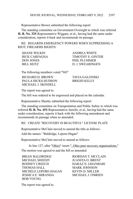Representative Brown submitted the following report:

The standing committee on Government Oversight to which was referred **H. B. No. 325**-Representative Wiggam, et al., having had the same under consideration, reports it back and recommends its passage.

RE: REGARDS EMERGENCY POWERS WHEN SUPPRESSING A RIOT; FIREARMS RIGHTS

| SHANE WILKIN  | ANDREA WHITE        |
|---------------|---------------------|
| RICK CARFAGNA | TIMOTHY E. GINTER   |
| DON JONES     | <b>PHIL PLUMMER</b> |
| BILL SEITZ-   | D. J. SWEARINGEN    |

The following members voted "NO"

RICHARD D. BROWN TAVIA GALONSKI PAULA HICKS-HUDSON BRIGID KELLY MICHAEL J. SKINDELL

The report was agreed to.

The bill was ordered to be engrossed and placed on the calendar.

Representative Sheehy submitted the following report:

The standing committee on Transportation and Public Safety to which was referred **H. B. No. 453**-Representative Jarrells, et al., having had the same under consideration, reports it back with the following amendment and recommends its passage when so amended.

RE: CREATE "RECOVERY IS BEAUTIFUL" LICENSE PLATE

Representative McClain moved to amend the title as follows:

Add the names: "Baldridge, Lepore-Hagan"

Representative McClain moved to amend as follows:

In line 127, after "Ohio)" insert ", Ohio peer recovery organizations," The motion was agreed to and the bill so amended.

BRIAN BALDRIDGE RIORDAN T. MCCLAIN MICHAEL SHEEHY JUANITA O BRENT RODNEY CREECH HARAZ N. GHANBARI THOMAS HALL MARK JOHNSON MICHELE LEPORE-HAGAN KEVIN D. MILLER JESSICA E. MIRANDA MICHAEL J. O'BRIEN BOB YOUNG

The report was agreed to.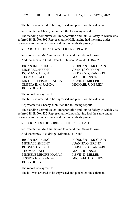The bill was ordered to be engrossed and placed on the calendar.

Representative Sheehy submitted the following report:

The standing committee on Transportation and Public Safety to which was referred **H. B. No. 502**-Representative Hall, having had the same under consideration, reports it back and recommends its passage.

RE: CREATE THE "P.A.W.S." LICENSE PLATE

Representative McClain moved to amend the title as follows:

Add the names: "Brent, Creech, Johnson, Miranda, O'Brien"

BRIAN BALDRIDGE RIORDAN T. MCCLAIN MICHAEL SHEEHY JUANITA O. BRENT RODNEY CREECH HARAZ N. GHANBARI THOMAS HALL MARK JOHNSON MICHELE LEPORE-HAGAN KEVIN D. MILLER JESSICA E. MIRANDA MICHAEL J. O'BRIEN BOB YOUNG

The report was agreed to.

The bill was ordered to be engrossed and placed on the calendar.

Representative Sheehy submitted the following report:

The standing committee on Transportation and Public Safety to which was referred **H. B. No. 527**-Representative Lipps, having had the same under consideration, reports it back and recommends its passage.

RE: CREATES THE SHRINERS LICENSE PLATE

Representative McClain moved to amend the title as follows:

Add the names: "Baldridge, Miranda, O'Brien"

BRIAN BALDRIDGE RIORDAN T. MCCLAIN MICHAEL SHEEHY JUANITA O. BRENT RODNEY CREECH HARAZ N. GHANBARI THOMAS HALL MARK JOHNSON MICHELE LEPORE-HAGAN KEVIN D. MILLER JESSICA E. MIRANDA MICHAEL J. O'BRIEN BOB YOUNG

The report was agreed to.

The bill was ordered to be engrossed and placed on the calendar.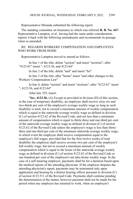Representative Miranda submitted the following report:

The standing committee on Insurance to which was referred **H. B. No. 447**- Representative Lampton, et al., having had the same under consideration, reports it back with the following amendments and recommends its passage when so amended

# RE: REGARDS WORKERS' COMPENSATION AND EMPLOYEES WHO WORK FROM HOME

Representative Lampton moved to amend as follows:

In line 1 of the title, delete "section" and insert "sections"; after "4123.01" insert ", 4123.56, and 4123.64"

In line 2 of the title, delete "and" and insert "for"

In line 3 of the title, after "home" insert "and other changes to the Workers' Compensation Law"

In line 4, delete "section" and insert "sections"; after "4123.01" insert ", 4123.56, and 4123.64"

After line 355, insert:

"**Sec. 4123.56.** (A) Except as provided in division (D) of this section, in the case of temporary disability, an employee shall receive sixty-six and two-thirds per cent of the employee's average weekly wage so long as such disability is total, not to exceed a maximum amount of weekly compensation which is equal to the statewide average weekly wage as defined in division (C) of section 4123.62 of the Revised Code, and not less than a minimum amount of compensation which is equal to thirty-three and one-third per cent of the statewide average weekly wage as defined in division (C) of section 4123.62 of the Revised Code unless the employee's wage is less than thirtythree and one-third per cent of the minimum statewide average weekly wage, in which event the employee shall receive compensation equal to the employee's full wages; provided that for the first twelve weeks of total disability the employee shall receive seventy-two per cent of the employee's full weekly wage, but not to exceed a maximum amount of weekly compensation which is equal to the lesser of the statewide average weekly wage as defined in division (C) of section 4123.62 of the Revised Code or one hundred per cent of the employee's net take-home weekly wage. In the case of a self-insuring employer, payments shall be for a duration based upon the medical reports of the attending physician. If the employer disputes the attending physician's report, payments may be terminated only upon application and hearing by a district hearing officer pursuant to division (C) of section 4123.511 of the Revised Code. Payments shall continue pending the determination of the matter, however payment shall not be made for the period when any employee has returned to work, when an employee's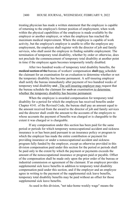treating physician has made a written statement that the employee is capable of returning to the employee's former position of employment, when work within the physical capabilities of the employee is made available by the employer or another employer, or when the employee has reached the maximum medical improvement. Where the employee is capable of work activity, but the employee's employer is unable to offer the employee any employment, the employee shall register with the director of job and family services, who shall assist the employee in finding suitable employment. The termination of temporary total disability, whether by order or otherwise, does not preclude the commencement of temporary total disability at another point in time if the employee again becomes temporarily totally disabled.

After two hundred weeks of temporary total disability benefits, the medical section of the bureau of workers' compensation shall-may schedule the claimant for an examination for an evaluation to determine whether or not the temporary disability has become permanent. A self-insuring employer shall notify the bureau immediately after payment of two hundred weeks of temporary total disability and. The self-insuring employer may request that the bureau schedule the claimant for such an examination to determine whether the temporary disability has become permanent.

When the employee is awarded compensation for temporary total disability for a period for which the employee has received benefits under Chapter 4141. of the Revised Code, the bureau shall pay an amount equal to the amount received from the award to the director of job and family services and the director shall credit the amount to the accounts of the employers to whose accounts the payment of benefits was charged or is chargeable to the extent it was charged or is chargeable.

If any compensation under this section has been paid for the same period or periods for which temporary nonoccupational accident and sickness insurance is or has been paid pursuant to an insurance policy or program to which the employer has made the entire contribution or payment for providing insurance or under a nonoccupational accident and sickness program fully funded by the employer, except as otherwise provided in this division compensation paid under this section for the period or periods shall be paid only to the extent by which the payment or payments exceeds the amount of the nonoccupational insurance or program paid or payable. Offset of the compensation shall be made only upon the prior order of the bureau or industrial commission or agreement of the claimant. If an employer provides supplemental sick leave benefits in addition to temporary total disability compensation paid under this section, and if the employer and an employee agree in writing to the payment of the supplemental sick leave benefits, temporary total disability benefits may be paid without an offset for those supplemental sick leave benefits.

As used in this division, "net take-home weekly wage" means the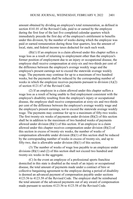amount obtained by dividing an employee's total remuneration, as defined in section 4141.01 of the Revised Code, paid to or earned by the employee during the first four of the last five completed calendar quarters which immediately precede the first day of the employee's entitlement to benefits under this division, by the number of weeks during which the employee was paid or earned remuneration during those four quarters, less the amount of local, state, and federal income taxes deducted for each such week.

(B)(1) If an employee in a claim allowed under this chapter suffers a wage loss as a result of returning to employment other than the employee's former position of employment due to an injury or occupational disease, the employee shall receive compensation at sixty-six and two-thirds per cent of the difference between the employee's average weekly wage and the employee's present earnings not to exceed the statewide average weekly wage. The payments may continue for up to a maximum of two hundred weeks, but the payments shall be reduced by the corresponding number of weeks in which the employee receives payments pursuant to division (A)(2) of section 4121.67 of the Revised Code.

(2) If an employee in a claim allowed under this chapter suffers a wage loss as a result of being unable to find employment consistent with the employee's disability resulting from the employee's injury or occupational disease, the employee shall receive compensation at sixty-six and two-thirds per cent of the difference between the employee's average weekly wage and the employee's present earnings, not to exceed the statewide average weekly wage. The payments may continue for up to a maximum of fifty-two weeks. The first twenty-six weeks of payments under division (B)(2) of this section shall be in addition to the maximum of two hundred weeks of payments allowed under division (B)(1) of this section. If an employee in a claim allowed under this chapter receives compensation under division (B)(2) of this section in excess of twenty-six weeks, the number of weeks of compensation allowable under division (B)(1) of this section shall be reduced by the corresponding number of weeks in excess of twenty-six, and up to fifty-two, that is allowable under division (B)(1) of this section.

(3) The number of weeks of wage loss payable to an employee under divisions (B)(1) and (2) of this section shall not exceed two hundred and twenty-six weeks in the aggregate.

(C) In the event an employee of a professional sports franchise domiciled in this state is disabled as the result of an injury or occupational disease, the total amount of payments made under a contract of hire or collective bargaining agreement to the employee during a period of disability is deemed an advanced payment of compensation payable under sections 4123.56 to 4123.58 of the Revised Code. The employer shall be reimbursed the total amount of the advanced payments out of any award of compensation made pursuant to sections 4123.56 to 4123.58 of the Revised Code.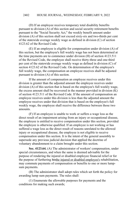#### HOUSE JOURNAL, WEDNESDAY, FEBRUARY 9, 2022 2402

(D) If an employee receives temporary total disability benefits pursuant to division (A) of this section and social security retirement benefits pursuant to the "Social Security Act," the weekly benefit amount under division (A) of this section shall not exceed sixty-six and two-thirds per cent of the statewide average weekly wage as defined in division (C) of section 4123.62 of the Revised Code.

(E) If an employee is eligible for compensation under division (A) of this section, but the employee's full weekly wage has not been determined at the time payments are to commence under division (H) of section 4123.511 of the Revised Code, the employee shall receive thirty-three and one-third per cent of the statewide average weekly wage as defined in division (C) of section 4123.62 of the Revised Code. On determination of the employee's full weekly wage, the compensation an employee receives shall be adjusted pursuant to division (A) of this section.

If the amount of compensation an employee receives under this division is greater than the adjusted amount the employee receives under division (A) of this section that is based on the employee's full weekly wage, the excess amount shall be recovered in the manner provided in division  $(K)$ of section 4123.511 of the Revised Code. If the amount of compensation an employee receives under this division is less than the adjusted amount the employee receives under that division that is based on the employee's full weekly wage, the employee shall receive the difference between those two amounts.

(F) If an employee is unable to work or suffers a wage loss as the direct result of an impairment arising from an injury or occupational disease, the employee is entitled to receive compensation under this section, provided the employee is otherwise qualified. If an employee is not working or has suffered a wage loss as the direct result of reasons unrelated to the allowed injury or occupational disease, the employee is not eligible to receive compensation under this section. It is the intent of the general assembly to supersede any previous judicial decision that applied the doctrine of voluntary abandonment to a claim brought under this section.

**Sec. 4123.64.** (A) The administrator of workers' compensation, under special circumstances, and when the same is deemed advisable for the purpose of rendering the injured or disabled employee financial relief or for the purpose of furthering histhe injured or disabled employee's rehabilitation, may commute payments of compensation or benefits to one or more lumpsum payments.

(B) The administrator shall adopt rules which set forth the policy for awarding lump sum payments. The rules shall:

(1) Enumerate the allowable purposes for payments and the conditions for making such awards;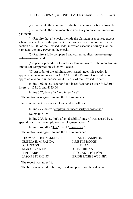(2) Enumerate the maximum reduction in compensation allowable;

(3) Enumerate the documentation necessary to award a lump-sum payment;

(4) Require that all checks include the claimant as a payee, except where the check is for the payment of attorney's fees in accordance with section 4123.06 of the Revised Code, in which case the attorney shall be named as the only payee on the check;

(5) Require a fully completed and current application-includingnotary and seal; and

(6) Specify procedures to make a claimant aware of the reduction in amount of compensation which will occur.

(C) An order of the administrator issued under this section is appealable pursuant to section 4123.511 of the Revised Code but is not appealable to court under section 4123.512 of the Revised Code."

In line 356, delete "section" and insert "sections"; after "4123.01" insert ", 4123.56, and 4123.64"

In line 357, delete "is" and insert "are"

The motion was agreed to and the bill so amended.

Representative Cross moved to amend as follows:

In line 273, delete "employment necessarily exposes the"

Delete line 274

In line 275, delete "of"; after "disability" insert "was caused by a special hazard of the employee's employment activity"

In line 276, after "The" insert "employee's"

The motion was agreed to and the bill so amended.

| THOMAS E. BRINKMAN JR. | <b>BRIAN E. LAMPTON</b>   |
|------------------------|---------------------------|
| JESSICA E. MIRANDA     | <b>KRISTIN BOGGS</b>      |
| JON CROSS              | <b>BILL DEAN</b>          |
| <b>MARK FRAIZER</b>    | <b>KRIS JORDAN</b>        |
| <b>JEFF LARE</b>       | THOMAS F. PATTON          |
| <b>JASON STEPHENS</b>  | <b>BRIDE ROSE SWEENEY</b> |

The report was agreed to.

The bill was ordered to be engrossed and placed on the calendar.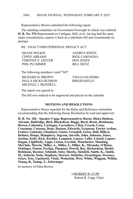Representative Brown submitted the following report:

The standing committee on Government Oversight to which was referred **H. B. No. 376**-Representatives Carfagna, Hall, et al., having had the same under consideration, reports it back as a substitute bill and recommends its passage.

RE: ENACT OHIO PERSONAL PRIVACY ACT

| <b>SHANE WILKIN</b> | ANDREA WHITE      |
|---------------------|-------------------|
| CINDY ABRAMS        | RICK CARFAGNA     |
| TIMOTHY E. GINTER   | <b>DON JONES</b>  |
| PHIL PLUMMER        | <b>BILL SEITZ</b> |

The following members voted "NO"

RICHARD D. BROWN TAVIA GALONSKI PAULA HICKS-HUDSON BRIGID KELLY MICHAEL J. SKINDELL

The report was agreed to.

The bill was ordered to be engrossed and placed on the calendar.

# **MOTIONS AND RESOLUTIONS**

Representative Russo reported for the Rules and Reference committee recommending that the following House Resolution be read and approved:

**H. R. No. 184** - **Speaker Cupp, Representatives Russo, Hicks-Hudson, Abrams, Baldridge, Bird, Blackshear, Boggs, Boyd, Brent, Brinkman, Brown, Callender, Carfagna, Carruthers, Click, Creech, Cross, Crossman, Cutrona, Dean, Denson, Edwards, Ferguson, Fowler Arthur, Fraizer, Galonski, Ghanbari, Ginter, Grendell, Gross, Hall, Hillyer, Holmes, Hoops, Humphrey, Ingram, Jarrells, John, Johnson, Jones, Jordan, Kelly, Kick, Koehler, Lampton, Lanese, LaRe, Leland, Lepore-Hagan, Lightbody, Lipps, Liston, Loychik, Manchester, Manning, McClain, Merrin, Miller, A., Miller, J., Miller, K., Miranda, O'Brien, Oelslager, Patton, Pavliga, Plummer, Powell, Ray, Richardson, Riedel, Robinson, Roemer, Schmidt, Seitz, Sheehy, Skindell, Smith, K., Smith, M., Sobecki, Stein, Stephens, Stewart, Stoltzfus, Swearingen, Sweeney, Sykes, Troy, Upchurch, Vitale, Weinstein, West, White, Wiggam, Wilkin, Young, B., Young, T., Zeltwanger**

In memory of Edna Brown.

/s/ROBERT R. CUPP Robert R. Cupp, Chair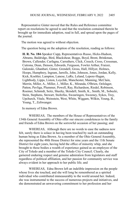Representative Ginter moved that the Rules and Reference committee report on resolutions be agreed to and that the resolution contained therein be brought up for immediate adoption, read in full, and spread upon the pages of the journal.

The motion was agreed to without objection.

The question being on the adoption of the resolution, reading as follows:

**H. R. No. 184**-Speaker Cupp, Representatives Russo, Hicks-Hudson, Abrams, Baldridge, Bird, Blackshear, Boggs, Boyd, Brent, Brinkman, Brown, Callender, Carfagna, Carruthers, Click, Creech, Cross, Crossman, Cutrona, Dean, Denson, Edwards, Ferguson, Fowler Arthur, Fraizer, Galonski, Ghanbari, Ginter, Grendell, Gross, Hall, Hillyer, Holmes, Hoops, Humphrey, Ingram, Jarrells, John, Johnson, Jones, Jordan, Kelly, Kick, Koehler, Lampton, Lanese, LaRe, Leland, Lepore-Hagan, Lightbody, Lipps, Liston, Loychik, Manchester, Manning, McClain, Merrin, Miller, A., Miller, J., Miller, K., Miranda, O'Brien, Oelslager, Patton, Pavliga, Plummer, Powell, Ray, Richardson, Riedel, Robinson, Roemer, Schmidt, Seitz, Sheehy, Skindell, Smith, K., Smith, M., Sobecki, Stein, Stephens, Stewart, Stoltzfus, Swearingen, Sweeney, Sykes, Troy, Upchurch, Vitale, Weinstein, West, White, Wiggam, Wilkin, Young, B., Young, T., Zeltwanger.

In memory of Edna Brown.

WHEREAS, The members of the House of Representatives of the 134th General Assembly of Ohio offer our sincere condolences to the family and friends of Edna Brown on the sorrowful occasion of her passing; and

WHEREAS, Although there are no words to ease the sadness now felt, surely there is solace in having been touched by such an outstanding human being as Edna Brown. As a member of the Ohio General Assembly, she represented the 48th House District for nine years and the 11th Senate District for eight years, having held the office of minority whip, and she brought to these bodies a wealth of experience gained as an employee of the City of Toledo and a member of the Toledo City Council. Clearly, she garnered enduring respect and genuine admiration from legislators and staff regardless of political affiliation, and her passion for community service was always evident in her approach to her public life; and

WHEREAS, Edna Brown left an indelible impression on the people whose lives she touched, and she will long be remembered as a spirited individual who contributed immeasurably to the world around her. Indeed, she was instrumental to the success of numerous projects and initiatives, and she demonstrated an unwavering commitment to her profession and her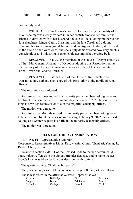community; and

WHEREAS, Edna Brown's concern for improving the quality of life in our society was clearly evident in in her contributions to her family and friends. A devoted wife to her husband, the late Willie, a loving mother to her four daughters, Linda, Cathy, Christine, and the late Carol, and a doting grandmother to her many grandchildren and great-grandchildren, she thrived in the circle of her loved ones, and she amply demonstrated how very much a conscientious and industrious person could accomplish; therefore be it

RESOLVED, That we, the members of the House of Representatives of the 134th General Assembly of Ohio, in adopting this Resolution, salute the memory of a truly great woman who was a pillar of her community, Edna Brown and; and be it further

RESOLVED, That the Clerk of the House of Representatives transmit a duly authenticated copy of this Resolution to the family of Edna Brown.

The resolution was adopted.

Representative Jones moved that majority party members asking leave to be absent or absent the week of Wednesday, February 9, 2022, be excused, so long as a written request is on file in the majority leadership offices.

The motion was agreed to.

Representative Miranda moved that minority party members asking leave to be absent or absent the week of Wednesday, February 9, 2022, be excused, so long as a written request is on file in the minority leadership offices.

The motion was agreed to.

#### **BILLS FOR THIRD CONSIDERATION**

**H. B. No. 161**-Representative Lampton.

Cosponsors: Representatives Lipps, Ray, Merrin, Ginter, Ghanbari, Young, T., Riedel, Click, Schmidt.

To amend section 2903.41 of the Revised Code to include certain child abuse-related offenses in the violent offender database and to name the act Jacob's Law, was taken up for consideration the third time.

The question being, "Shall the bill pass?"

The yeas and nays were taken and resulted – yeas 89, nays 4, as follows:

Those who voted in the affirmative were: Representatives

| Abrams    | Baldridge    | <b>Bird</b>     | <b>Blackshear</b> |
|-----------|--------------|-----------------|-------------------|
| Boggs     | <b>Brent</b> | <b>Brinkman</b> | <b>Brown</b>      |
| Callender | Carfagna     | Carruthers      | Click             |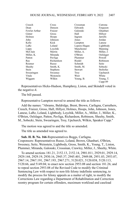| Creech        | Cross           | Crossman     | Cutrona    |
|---------------|-----------------|--------------|------------|
| Dean          | Denson          | Edwards      | Ferguson   |
| Fowler Arthur | Fraizer         | Galonski     | Ghanbari   |
| Ginter        | Gross           | Hall         | Hillyer    |
| Holmes        | Hoops           | Ingram       | Jarrells   |
| John          | Johnson         | Jones        | Jordan     |
| Kelly         | Kick            | Lampton      | Lanese     |
| LaRe          | Leland          | Lepore-Hagan | Lightbody  |
| Lipps         | Loychik         | Manchester   | Manning    |
| McClain       | Merrin          | Miller, A.   | Miller, J. |
| Miller, K.    | Miranda         | O'Brien      | Oelslager  |
| Patton        | Pavliga         | Plummer      | Powell     |
| Ray           | Richardson      | Riedel       | Robinson   |
| Roemer        | Russo           | Schmidt      | Seitz      |
| Sheehy        | Smith, K.       | Smith, M.    | Sobecki    |
| Stein         | <b>Stephens</b> | Stewart      | Stoltzfus  |
| Swearingen    | Sweeney         | Troy         | Upchurch   |
| Vitale        | Weinstein       | West         | White      |
| Wiggam        | Wilkin          | Young, B.    | Young, T.  |
|               |                 |              | Cupp-89    |

Representatives Hicks-Hudson, Humphrey, Liston, and Skindell voted in the negative-4.

The bill passed.

Representative Lampton moved to amend the title as follows:

Add the names: "Abrams, Baldridge, Brent, Brown, Carfagna, Carruthers, Creech, Fraizer, Gross, Hall, Hillyer, Holmes, Hoops, John, Johnson, Jones, Lanese, LaRe, Leland, Lightbody, Loychik, Miller, A., Miller, J., Miller, K., O'Brien, Oelslager, Patton, Pavliga, Richardson, Robinson, Sheehy, Smith, M., Sobecki, Stein, Swearingen, Troy, Upchurch, Wilkin, Speaker Cupp."

The motion was agreed to and the title so amended.

The title as amended was agreed to.

**Sub. H. B. No. 166**-Representatives Boggs, Carfagna.

Cosponsors: Representatives Russo, Leland, Brown, Ghanbari, O'Brien, Sweeney, Seitz, Weinstein, Lightbody, Gross, Smith, K., Young, T., Liston, Plummer, Miranda, Galonski, Crossman, Crawley, Miller, J., Sheehy, White.

To amend sections 181.21, 2152.13, 2152.14, 2901.011, 2929.01, 2929.14, 2929.144, 2929.19, 2930.16, 2945.37, 2945.401, 2949.08, 2951.03, 2953.07, 2967.14, 2967.191, 2967.193, 2967.271, 5120.021, 5120.038, 5120.113, 5120.66, and 5149.04; to enact new section 2953.08 and section 181.26; and to repeal section 2953.08 of the Revised Code to modify the Criminal Sentencing Law with respect to non-life felony indefinite sentencing, to modify the process for felony appeals as a matter of right, to modify the Corrections Law regarding a Department of Rehabilitation and Correction reentry program for certain offenders, maximum workload and caseload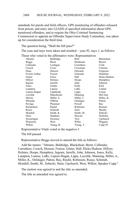#### HOUSE JOURNAL, WEDNESDAY, FEBRUARY 9, 2022 2408

standards for parole and field officers, GPS monitoring of offenders released from prison, and entry into LEADS of specified information about GPSmonitored offenders, and to require the Ohio Criminal Sentencing Commission to appoint an Offender Supervision Study Committee, was taken up for consideration the third time.

The question being, "Shall the bill pass?"

The yeas and nays were taken and resulted – yeas 92, nays 1, as follows:

|              |              | Those who voted in the affirmative were: Representatives |              |
|--------------|--------------|----------------------------------------------------------|--------------|
| Abrams       | Baldridge    | Bird                                                     | Blackshear   |
| $\mathbf{r}$ | $\mathbf{r}$ | $\mathbf{r}$ $\mathbf{r}$                                | $\mathbf{r}$ |

| Adiailis      | Daidhiuge  | ыш         | DIACKSIICAL  |
|---------------|------------|------------|--------------|
| <b>Boggs</b>  | Brent      | Brinkman   | <b>Brown</b> |
| Callender     | Carfagna   | Carruthers | Click        |
| Creech        | Cross      | Crossman   | Cutrona      |
| Dean          | Denson     | Edwards    | Ferguson     |
| Fowler Arthur | Fraizer    | Galonski   | Ghanbari     |
| Ginter        | Gross      | Hall       | Hicks-Hudson |
| Hillyer       | Holmes     | Hoops      | Humphrey     |
| Ingram        | Jarrells   | John       | Johnson      |
| Jones         | Jordan     | Kelly      | Kick         |
| Lampton       | Lanese     | LaRe       | Leland       |
| Lepore-Hagan  | Lightbody  | Lipps      | Liston       |
| Loychik       | Manchester | Manning    | McClain      |
| Merrin        | Miller, A. | Miller, J. | Miller, K.   |
| Miranda       | O'Brien    | Oelslager  | Patton       |
| Pavliga       | Plummer    | Powell     | Ray          |
| Richardson    | Riedel     | Robinson   | Roemer       |
| Russo         | Schmidt    | Seitz      | Sheehy       |
| Skindell      | Smith, K.  | Smith, M.  | Sobecki      |
| Stein         | Stephens   | Stewart    | Stoltzfus    |
| Swearingen    | Sweeney    | Troy       | Upchurch     |
| Weinstein     | West       | White      | Wiggam       |
| Wilkin        | Young, B.  | Young, T.  | $Cupp-92$    |

Representative Vitale voted in the negative-1.

The bill passed.

Representative Boggs moved to amend the title as follows:

Add the names: "Abrams, Baldridge, Blackshear, Brent, Callender, Carruthers, Creech, Denson, Fraizer, Ginter, Hall, Hicks-Hudson, Hillyer, Holmes, Hoops, Humphrey, Ingram, Jarrells, John, Johnson, Jones, Kelly, Lampton, Lanese, LaRe, Lepore-Hagan, Lipps, Loychik, Manning, Miller, A., Miller, K., Oelslager, Patton, Ray, Riedel, Robinson, Russo, Schmidt, Skindell, Smith, M., Sobecki, Stein, Upchurch, West, Wilkin, Speaker Cupp."

The motion was agreed to and the title so amended.

The title as amended was agreed to.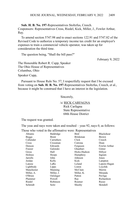**Sub. H. B. No. 197**-Representatives Stoltzfus, Creech.

Cosponsors: Representatives Cross, Riedel, Kick, Miller, J., Fowler Arthur, Ray.

To amend section 5747.98 and to enact sections 122.91 and 5747.82 of the Revised Code to authorize a temporary income tax credit for an employer's expenses to train a commercial vehicle operator, was taken up for consideration the third time.

The question being, "Shall the bill pass?"

February 9, 2022

The Honorable Robert R. Cupp, Speaker The Ohio House of Representatives Columbus, Ohio Speaker Cupp,

Pursuant to House Rule No. 57, I respectfully request that I be excused from voting on **Sub. H. B. No. 197**-Representatives Stoltzfus, Creech, et al., because it might be construed that I have an interest in the legislation.

Sincerely,

## /s/ RICK CARFAGNA

Rick Carfagna State Representative 68th House District

The request was granted.

The yeas and nays were taken and resulted – yeas 92, nays 0, as follows:

Those who voted in the affirmative were: Representatives

|            | --- r -         |                   |
|------------|-----------------|-------------------|
|            |                 | <b>Blackshear</b> |
| Brent      | <b>Brinkman</b> | <b>Brown</b>      |
| Carruthers | Click           | Creech            |
| Crossman   | Cutrona         | Dean              |
| Edwards    | Ferguson        | Fowler Arthur     |
| Galonski   | Ghanbari        | Ginter            |
| Hall       | Hicks-Hudson    | Hillyer           |
| Hoops      | Humphrey        | Ingram            |
| John       | Johnson         | Jones             |
| Kelly      | Kick            | Lampton           |
| LaRe       | Leland          | Lepore-Hagan      |
| Lipps      | Liston          | Loychik           |
| Manning    | McClain         | Merrin            |
| Miller, J. | Miller, K.      | Miranda           |
| Oelslager  | Patton          | Pavliga           |
| Powell     | Ray             | Richardson        |
| Robinson   | Roemer          | Russo             |
| Seitz      | Sheehy          | Skindell          |
|            | Baldridge       | Bird              |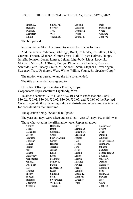| Smith, K.       | Smith, M. | Sobecki          | Stein      |
|-----------------|-----------|------------------|------------|
| <b>Stephens</b> | Stewart   | <b>Stoltzfus</b> | Swearingen |
| Sweeney         | Trov      | Upchurch         | Vitale     |
| Weinstein       | West      | White            | Wiggam     |
| Wilkin          | Young, B. | Young, T.        | $Cupp-92$  |

The bill passed.

Representative Stoltzfus moved to amend the title as follows:

Add the names: "Abrams, Baldridge, Brent, Callender, Carruthers, Click, Cutrona, Fraizer, Ghanbari, Ginter, Gross, Hall, Hillyer, Holmes, Hoops, Jarrells, Johnson, Jones, Lanese, Leland, Lightbody, Lipps, Loychik, McClain, Miller, A., O'Brien, Pavliga, Plummer, Richardson, Roemer, Schmidt, Seitz, Sheehy, Smith, M., Sobecki, Stein, Stephens, Swearingen, Sweeney, Troy, Upchurch, West, White, Wilkin, Young, B., Speaker Cupp."

The motion was agreed to and the title so amended.

The title as amended was agreed to.

**H. B. No. 236**-Representatives Fraizer, Lipps.

Cosponsors: Representatives Lightbody, West.

To amend sections 3719.41 and 4729.01 and to enact sections 930.01, 930.02, 930.03, 930.04, 930.05, 930.06, 930.07, and 930.99 of the Revised Code to regulate the processing, sale, and distribution of kratom, was taken up for consideration the third time.

The question being, "Shall the bill pass?"

The yeas and nays were taken and resulted – yeas 83, nays 10, as follows:

Those who voted in the affirmative were: Representatives

| Abrams       | Baldridge     | Bird            | Blackshear     |
|--------------|---------------|-----------------|----------------|
| <b>Boggs</b> | Brent         | <b>Brinkman</b> | <b>Brown</b>   |
| Callender    | Carfagna      | Carruthers      | Click          |
| Creech       | Cross         | Crossman        | Denson         |
| Ferguson     | Fowler Arthur | Fraizer         | Galonski       |
| Ghanbari     | Ginter        | Hall            | Hicks-Hudson   |
| Hillyer      | Holmes        | Hoops           | Humphrey       |
| Ingram       | Jarrells      | John            | Johnson        |
| Jones        | Jordan        | Kelly           | Lampton        |
| Lanese       | LaRe          | Leland          | Lepore-Hagan   |
| Lightbody    | Lipps         | Liston          | Loychik        |
| Manchester   | Manning       | Merrin          | Miller, A.     |
| Miller, J.   | Miller, K.    | Miranda         | O'Brien        |
| Oelslager    | Patton        | Pavliga         | Plummer        |
| Ray          | Richardson    | Riedel          | Robinson       |
| Roemer       | Russo         | Schmidt         | Seitz          |
| Sheehy       | Skindell      | Smith, K.       | Smith, M.      |
| Sobecki      | Stein         | Stephens        | <b>Stewart</b> |
| Stoltzfus    | Swearingen    | Sweeney         | Troy           |
| Upchurch     | Weinstein     | West            | White          |
| Young, B.    | Young, T.     |                 | $Cupp-83$      |
|              |               |                 |                |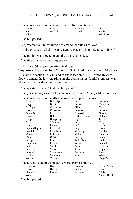|         | Those who voted in the negative were: Representatives |         |           |
|---------|-------------------------------------------------------|---------|-----------|
| Cutrona | Dean                                                  | Edwards | Gross     |
| Kick    | McClain                                               | Powell  | Vitale    |
| Wiggam  |                                                       |         | Wilkin-10 |

The bill passed.

Representative Fraizer moved to amend the title as follows:

Add the names: "Click, Leland, Lepore-Hagan, Liston, Seitz, Smith, M."

The motion was agreed to and the title so amended.

The title as amended was agreed to.

**H. B. No. 304**-Representative Baldridge.

Cosponsors: Representatives Young, T., Seitz, Bird, Sheehy, Jones, Stephens.

To amend section 3737.82 and to enact section 3781.21 of the Revised Code to amend the law regarding smoke alarms in residential premises, was taken up for consideration the third time.

The question being, "Shall the bill pass?"

The yeas and nays were taken and resulted – yeas 79, nays 14, as follows:

|  |  | Those who voted in the affirmative were: Representatives |
|--|--|----------------------------------------------------------|
|  |  |                                                          |

|                  |              | who voice in the annihilative were: respresentatives  |                      |
|------------------|--------------|-------------------------------------------------------|----------------------|
| Abrams           | Baldridge    | <b>Bird</b>                                           | <b>Blackshear</b>    |
| <b>Boggs</b>     | <b>Brent</b> | <b>Brown</b>                                          | Callender            |
| Carfagna         | Carruthers   | Click                                                 | Creech               |
| Cross            | Crossman     | Cutrona                                               | Denson               |
| Edwards          | Fraizer      | Galonski                                              | Ghanbari             |
| Ginter           | Hall         | Hicks-Hudson                                          | Holmes               |
| Hoops            | Humphrey     | Ingram                                                | <b>Jarrells</b>      |
| John             | Johnson      | Jones                                                 | Kelly                |
| Lampton          | Lanese       | LaRe                                                  | Leland               |
| Lepore-Hagan     | Lightbody    | Lipps                                                 | Liston               |
| Loychik          | Manchester   | Manning                                               | McClain              |
| Merrin           | Miller, A.   | Miller, J.                                            | Miller, K.           |
| Miranda          | O'Brien      | Oelslager                                             | Patton               |
| Pavliga          | Ray          | Richardson                                            | Riedel               |
| Robinson         | Roemer       | Russo                                                 | Schmidt              |
| Seitz            | Sheehy       | Skindell                                              | Smith, K.            |
| Smith, M.        | Sobecki      | Stein                                                 | <b>Stephens</b>      |
| Stewart          | Swearingen   | Sweeney                                               | Troy                 |
| Upchurch         | Weinstein    | West                                                  | White                |
| Wilkin           | Young, T.    |                                                       | $Cupp-79$            |
|                  |              | Those who voted in the negative were: Representatives |                      |
| <b>Brinkman</b>  | Dean         | Ferguson                                              | <b>Fowler Arthur</b> |
| Gross            | Hillyer      | Jordan                                                | Kick                 |
| Plummer          | Powell       | Stoltzfus                                             | Vitale               |
| Wiggam           |              |                                                       | Young, $B.-14$       |
| The bill passed. |              |                                                       |                      |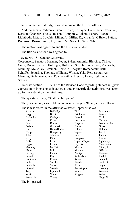Representative Baldridge moved to amend the title as follows:

Add the names: "Abrams, Brent, Brown, Carfagna, Carruthers, Crossman, Denson, Ghanbari, Hicks-Hudson, Humphrey, Leland, Lepore-Hagan, Lightbody, Liston, Loychik, Miller, A., Miller, K., Miranda, O'Brien, Patton, Robinson, Russo, Smith, K., Smith, M., Sobecki, West, White."

The motion was agreed to and the title so amended.

The title as amended was agreed to.

#### **S. B. No. 181**-Senator Gavarone.

Cosponsors: Senators Brenner, Fedor, Sykes, Antonio, Blessing, Cirino, Craig, Dolan, Hackett, Hottinger, Huffman, S., Johnson, Kunze, Maharath, Manning, McColley, Peterson, Reineke, Roegner, Romanchuk, Rulli, Schaffer, Schuring, Thomas, Williams, Wilson, Yuko Representatives Manning, Robinson, Click, Fowler Arthur, Ingram, Jones, Lightbody, Sobecki.

To enact section 3313.5317 of the Revised Code regarding student religious expression in interscholastic athletics and extracurricular activities, was taken up for consideration the third time.

The question being, "Shall the bill pass?"

The yeas and nays were taken and resulted – yeas 91, nays 0, as follows:

Those who voted in the affirmative were: Representatives

| Abrams                | Baldridge    | Bird            | <b>Blackshear</b> |
|-----------------------|--------------|-----------------|-------------------|
| <b>Boggs</b>          | <b>Brent</b> | <b>Brinkman</b> | <b>Brown</b>      |
| Callender             | Carfagna     | Carruthers      | Click             |
| Creech                | Cross        | Crossman        | Cutrona           |
| Dean                  | Denson       | Ferguson        | Fowler Arthur     |
| Fraizer               | Ghanbari     | Ginter          | Gross             |
| Hall                  | Hicks-Hudson | Hillyer         | Holmes            |
| Hoops                 | Humphrey     | Ingram          | Jarrells          |
| John                  | Johnson      | Jones           | Jordan            |
| Kelly                 | Kick         | Lampton         | Lanese            |
| LaRe                  | Leland       | Lepore-Hagan    | Lightbody         |
| Lipps                 | Liston       | Loychik         | Manchester        |
| Manning               | McClain      | Merrin          | Miller, A.        |
| Miller, J.            | Miller, K.   | Miranda         | O'Brien           |
| Oelslager             | Patton       | Pavliga         | Plummer           |
| Powell                | Ray          | Richardson      | Riedel            |
| Robinson              | Roemer       | Russo           | Schmidt           |
| Seitz                 | Sheehy       | Skindell        | Smith, K.         |
| Smith, M.             | Sobecki      | Stein           | <b>Stephens</b>   |
| <b>Stewart</b>        | Stoltzfus    | Swearingen      | Sweeney           |
| Troy                  | Upchurch     | Vitale          | Weinstein         |
| West                  | White        | Wiggam          | Wilkin            |
| Young, B.             | Young, T.    |                 | $Cupp-91$         |
| 8 - 1 111 - 2 - 2 - 1 |              |                 |                   |

The bill passed.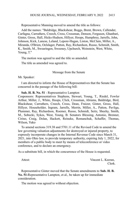Representative Manning moved to amend the title as follows:

Add the names: "Baldridge, Blackshear, Boggs, Brent, Brown, Callender, Carfagna, Carruthers, Creech, Cross, Crossman, Denson, Ferguson, Ghanbari, Ginter, Gross, Hall, Hicks-Hudson, Hillyer, Hoops, Humphrey, Jarrells, John, Johnson, Kick, Lanese, Leland, Lepore-Hagan, Liston, McClain, Miller, A., Miranda, O'Brien, Oelslager, Patton, Ray, Richardson, Russo, Schmidt, Smith, K., Smith, M., Swearingen, Sweeney, Upchurch, Weinstein, West, White, Young, T."

The motion was agreed to and the title so amended.

The title as amended was agreed to.

#### Message from the Senate

Mr. Speaker:

I am directed to inform the House of Representatives that the Senate has concurred in the passage of the following bill:

#### **Sub. H. B. No. 51** - Representative Lampton

Cosponsors: Representatives Stephens, Stewart, Young, T., Riedel, Fowler Arthur, Miller, J., White, Hoops, Click, Crossman, Abrams, Baldridge, Bird, Blackshear, Carruthers, Creech, Cross, Dean, Fraizer, Ginter, Gross, Hall, Hillyer, Householder, Ingram, Jarrells, Merrin, Miller, A., Patton, Pavliga, Plummer, Ray, Richardson, Roemer, Russo, Schmidt, Seitz, Sheehy, Smith, M., Sobecki, Sykes, West, Young, B. Senators Blessing, Antonio, Brenner, Cirino, Craig, Dolan, Hackett, Reineke, Romanchuk, Schaffer, Thomas, Wilson, Yuko

To amend sections 319.38 and 5701.11 of the Revised Code to amend the law governing valuation adjustments for destroyed or injured property, to expressly incorporate changes in the Internal Revenue Code since March 31, 2021, into Ohio law, to provide temporary authority, expiring July 1, 2022, for members of a public body to meet by means of teleconference or video conference, and to declare an emergency.

As a substitute bill, in which the concurrence of the House is requested.

Attest: Vincent L. Keeran, Clerk.

Representative Ginter moved that the Senate amendments to **Sub. H. B. No. 51-**Representative Lampton, et al., be taken up for immediate consideration.

The motion was agreed to without objection.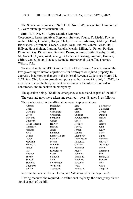#### HOUSE JOURNAL, WEDNESDAY, FEBRUARY 9, 2022 2414

The Senate amendments to **Sub. H. B. No. 51**-Representative Lampton, et al., were taken up for consideration.

**Sub. H. B. No. 51 -** Representative Lampton. Cosponsors: Representatives Stephens, Stewart, Young, T., Riedel, Fowler Arthur, Miller, J., White, Hoops, Click, Crossman, Abrams, Baldridge, Bird, Blackshear, Carruthers, Creech, Cross, Dean, Fraizer, Ginter, Gross, Hall, Hillyer, Householder, Ingram, Jarrells, Merrin, Miller, A., Patton, Pavliga, Plummer, Ray, Richardson, Roemer, Russo, Schmidt, Seitz, Sheehy, Smith, M., Sobecki, Sykes, West, Young, B. Senators Blessing, Antonio, Brenner, Cirino, Craig, Dolan, Hackett, Reineke, Romanchuk, Schaffer, Thomas, Wilson, Yuko.

To amend sections 319.38 and 5701.11 of the Revised Code to amend the law governing valuation adjustments for destroyed or injured property, to expressly incorporate changes in the Internal Revenue Code since March 31, 2021, into Ohio law, to provide temporary authority, expiring July 1, 2022, for members of a public body to meet by means of teleconference or video conference, and to declare an emergency.

The question being, "Shall the emergency clause stand as part of the bill?" The yeas and nays were taken and resulted – yeas 88, nays 3, as follows:

Those who voted in the affirmative were: Representatives Abrams Baldridge Bird Blackshear<br>Beacon Brown Brown Callender Boggs Brent Brown Callender

| boggs        | <b>B</b> rent | BIOWIL          | Canender       |
|--------------|---------------|-----------------|----------------|
| Carfagna     | Carruthers    | Click           | Creech         |
| Cross        | Crossman      | Cutrona         | Denson         |
| Edwards      | Ferguson      | Fowler Arthur   | Fraizer        |
| Ghanbari     | Ginter        | Gross           | Hall           |
| Hicks-Hudson | Hillyer       | Holmes          | Hoops          |
| Humphrey     | Ingram        | Jarrells        | John           |
| Johnson      | Jones         | Jordan          | Kelly          |
| Kick         | Lampton       | Lanese          | LaRe           |
| Leland       | Lepore-Hagan  | Lightbody       | Lipps          |
| Liston       | Loychik       | Manchester      | Manning        |
| McClain      | Merrin        | Miller, A.      | Miller, J.     |
| Miller, K.   | Miranda       | O'Brien         | Oelslager      |
| Patton       | Pavliga       | Plummer         | Powell         |
| Ray          | Richardson    | Riedel          | Robinson       |
| Roemer       | Russo         | Schmidt         | Seitz          |
| Sheehy       | Skindell      | Smith, K.       | Smith, M.      |
| Sobecki      | Stein         | <b>Stephens</b> | <b>Stewart</b> |
| Stoltzfus    | Swearingen    | Sweeney         | <b>Troy</b>    |
| Upchurch     | Weinstein     | West            | White          |
| Wilkin       | Young, B.     | Young, T.       | Cupp-88        |
|              |               |                 |                |

Representatives Brinkman, Dean, and Vitale voted in the negative-3.

Having received the required Constitutional majority, the emergency clause stood as part of the bill.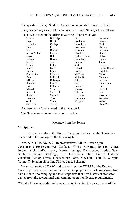The question being, "Shall the Senate amendments be concurred in?" The yeas and nays were taken and resulted – yeas 91, nays 1, as follows:

|                 |              | Those who voted in the affirmative were: Representatives |              |
|-----------------|--------------|----------------------------------------------------------|--------------|
| Abrams          | Baldridge    | Bird                                                     | Blackshear   |
| <b>Boggs</b>    | <b>Brent</b> | <b>Brinkman</b>                                          | <b>Brown</b> |
| Callender       | Carfagna     | Carruthers                                               | Click        |
| Creech          | Cross        | Crossman                                                 | Cutrona      |
| Dean            | Denson       | Edwards                                                  | Ferguson     |
| Fowler Arthur   | Fraizer      | Ghanbari                                                 | Ginter       |
| Gross           | Hall         | Hicks-Hudson                                             | Hillyer      |
| Holmes          | Hoops        | Humphrey                                                 | Ingram       |
| Jarrells        | John         | Johnson                                                  | Jones        |
| Jordan          | Kelly        | Kick                                                     | Lampton      |
| Lanese          | LaRe         | Leland                                                   | Lepore-Hagan |
| Lightbody       | Lipps        | Liston                                                   | Loychik      |
| Manchester      | Manning      | McClain                                                  | Merrin       |
| Miller, A.      | Miller, J.   | Miller, K.                                               | Miranda      |
| O'Brien         | Oelslager    | Patton                                                   | Pavliga      |
| Plummer         | Powell       | Ray                                                      | Richardson   |
| Riedel          | Robinson     | Roemer                                                   | Russo        |
| Schmidt         | Seitz        | Sheehy                                                   | Skindell     |
| Smith, K.       | Smith, M.    | Sobecki                                                  | Stein        |
| <b>Stephens</b> | Stewart      | Stoltzfus                                                | Swearingen   |
| Sweeney         | Troy         | Upchurch                                                 | Weinstein    |
| West            | White        | Wiggam                                                   | Wilkin       |
| Young, B.       | Young, T.    |                                                          | $Cupp-91$    |

Representative Vitale voted in the negative-1.

The Senate amendments were concurred in.

Message from the Senate

Mr. Speaker:

I am directed to inform the House of Representatives that the Senate has concurred in the passage of the following bill:

**Am. Sub. H. B. No. 229** - Representatives Wilkin, Swearingen Cosponsors: Representatives Carfagna, Cross, Edwards, Johnson, Jones, Jordan, Kick, LaRe, Lipps, Merrin, Pavliga, Richardson, Riedel, Seitz, Stoltzfus, Hillyer, Baldridge, Bird, Carruthers, Click, Creech, Cutrona, Ghanbari, Ginter, Gross, Householder, John, McClain, Schmidt, Wiggam, Young, T. Senators Schaffer, Cirino, Lang, Schuring

To amend section 3729.05 and to enact section 3729.15 of the Revised Code to provide a qualified immunity to camp operators for harm arising from a risk inherent to camping and to exempt sites that host historical reenactor camps from the recreational and camping operation license requirements.

With the following additional amendments, in which the concurrence of the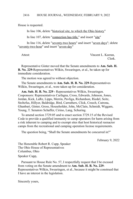House is requested.

In line 106, delete "historical site, to which the Ohio history"

In line 107, delete "connection has title," and insert "site"

In line 116, delete "seventy-two hours" and insert "seven days"; delete "seventy-two-hour" and insert "seven-day"

Attest: Vincent L. Keeran, Clerk.

Representative Ginter moved that the Senate amendments to **Am. Sub. H. B. No. 229-**Representatives Wilkin, Swearingen, et al., be taken up for immediate consideration.

The motion was agreed to without objection.

The Senate amendments to **Am. Sub. H. B. No. 229**-Representatives Wilkin, Swearingen, et al., were taken up for consideration.

**Am. Sub. H. B. No. 229 -** Representatives Wilkin, Swearingen. Cosponsors: Representatives Carfagna, Cross, Edwards, Johnson, Jones, Jordan, Kick, LaRe, Lipps, Merrin, Pavliga, Richardson, Riedel, Seitz, Stoltzfus, Hillyer, Baldridge, Bird, Carruthers, Click, Creech, Cutrona, Ghanbari, Ginter, Gross, Householder, John, McClain, Schmidt, Wiggam, Young, T. Senators Schaffer, Cirino, Lang, Schuring.

To amend section 3729.05 and to enact section 3729.15 of the Revised Code to provide a qualified immunity to camp operators for harm arising from a risk inherent to camping and to exempt sites that host historical reenactor camps from the recreational and camping operation license requirements.

The question being, "Shall the Senate amendments be concurred in?"

February 9, 2022

The Honorable Robert R. Cupp, Speaker The Ohio House of Representatives Columbus, Ohio

### Speaker Cupp,

Pursuant to House Rule No. 57, I respectfully request that I be excused from voting on the Senate amendment to **Am. Sub. H. B. No. 229**- Representatives Wilkin, Swearingen, et al., because it might be construed that I have an interest in the legislation.

Sincerely yours,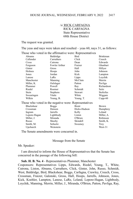## /s/ RICK CARFAGNA RICK CARFAGNA State Representative 68th House District

The request was granted.

The yeas and nays were taken and resulted – yeas 60, nays 31, as follows:

|              |                                                       | Those who voted in the affirmative were: Representatives |                  |
|--------------|-------------------------------------------------------|----------------------------------------------------------|------------------|
| Abrams       | Baldridge                                             | Bird                                                     | <b>Brinkman</b>  |
| Callender    | Carruthers                                            | Click                                                    | Creech           |
| Cross        | Cutrona                                               | Dean                                                     | Edwards          |
| Ferguson     | Fowler Arthur                                         | Fraizer                                                  | Ghanbari         |
| Ginter       | Gross                                                 | Hall                                                     | Hillyer          |
| Holmes       | Hoops                                                 | John                                                     | Johnson          |
| Jones        | Jordan                                                | Kick                                                     | Lampton          |
| Lanese       | LaRe                                                  | Lipps                                                    | Loychik          |
| Manchester   | Manning                                               | McClain                                                  | Merrin           |
| Miller, K.   | Oelslager                                             | Patton                                                   | Pavliga          |
| Plummer      | Powell                                                | Ray                                                      | Richardson       |
| Riedel       | Roemer                                                | Schmidt                                                  | <b>Seitz</b>     |
| Stein        | Stephens                                              | Stewart                                                  | <b>Stoltzfus</b> |
| Swearingen   | Vitale                                                | White                                                    | Wiggam           |
| Wilkin       | Young, B.                                             | Young, T.                                                | $Cupp-60$        |
|              | Those who voted in the negative were: Representatives |                                                          |                  |
| Blackshear   | <b>Boggs</b>                                          | <b>Brent</b>                                             | <b>Brown</b>     |
| Crossman     | Denson                                                | Hicks-Hudson                                             | Humphrey         |
| Ingram       | Jarrells                                              | Kelly                                                    | Leland           |
| Lepore-Hagan | Lightbody                                             | Liston                                                   | Miller, A.       |
| Miller, J.   | Miranda                                               | O'Brien                                                  | Robinson         |
| Russo        | Sheehy                                                | Skindell                                                 | Smith, K.        |
| Smith, M.    | Sobecki                                               | Sweeney                                                  | Troy             |
| Upchurch     | Weinstein                                             |                                                          | West-31          |

The Senate amendments were concurred in.

Message from the Senate

#### Mr. Speaker:

I am directed to inform the House of Representatives that the Senate has concurred in the passage of the following bill:

#### **Sub. H. B. No. 4** - Representatives Plummer, Manchester

Cosponsors: Representatives Lipps, Edwards, Riedel, Young, T., White, Cutrona, Liston, Abrams, Carruthers, Click, Ginter, John, Russo, Schmidt, West, Baldridge, Bird, Blackshear, Boggs, Carfagna, Crawley, Creech, Cross, Crossman, Fraizer, Galonski, Gross, Hall, Hoops, Jarrells, Johnson, Jones, Kick, Koehler, Lampton, Lanese, LaRe, Leland, Lepore-Hagan, Lightbody, Loychik, Manning, Merrin, Miller, J., Miranda, O'Brien, Patton, Pavliga, Ray,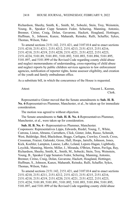Richardson, Sheehy, Smith, K., Smith, M., Sobecki, Stein, Troy, Weinstein, Young, B., Speaker Cupp Senators Fedor, Schuring, Manning, Antonio, Brenner, Cirino, Craig, Dolan, Gavarone, Hackett, Hoagland, Hottinger, Huffman, S., Johnson, Kunze, Maharath, Reineke, Rulli, Schaffer, Sykes, Thomas, Wilson, Yuko

To amend sections 2151.142, 2151.421, and 3107.014 and to enact sections 2151.4210, 2151.4211, 2151.4212, 2151.4213, 2151.4215, 2151.4216, 2151.4218, 2151.4219, 2151.4220, 2151.4221, 2151.4222, 2151.4223, 2151.4224, 5101.89, 5101.891, 5101.892, 5101.893, 5101.894, 5101.895, 5101.897, and 5101.899 of the Revised Code regarding county child abuse and neglect memorandums of understanding, cross-reporting of child abuse and neglect reports by public children services agencies to law enforcement agencies, notification of reporter rights, home assessor eligibility, and creation of the youth and family ombudsman office.

As a substitute bill, in which the concurrence of the House is requested.

Attest: Vincent L. Keeran, Clerk.

Representative Ginter moved that the Senate amendments to **Sub. H. B. No. 4-**Representatives Plummer, Manchester, et al., be taken up for immediate consideration.

The motion was agreed to without objection.

The Senate amendments to **Sub. H. B. No. 4**-Representatives Plummer, Manchester, et al., were taken up for consideration.

**Sub. H. B. No. 4 -** Representatives Plummer, Manchester. Cosponsors: Representatives Lipps, Edwards, Riedel, Young, T., White, Cutrona, Liston, Abrams, Carruthers, Click, Ginter, John, Russo, Schmidt, West, Baldridge, Bird, Blackshear, Boggs, Carfagna, Crawley, Creech, Cross, Crossman, Fraizer, Galonski, Gross, Hall, Hoops, Jarrells, Johnson, Jones, Kick, Koehler, Lampton, Lanese, LaRe, Leland, Lepore-Hagan, Lightbody, Loychik, Manning, Merrin, Miller, J., Miranda, O'Brien, Patton, Pavliga, Ray, Richardson, Sheehy, Smith, K., Smith, M., Sobecki, Stein, Troy, Weinstein,

Young, B., Speaker Cupp Senators Fedor, Schuring, Manning, Antonio, Brenner, Cirino, Craig, Dolan, Gavarone, Hackett, Hoagland, Hottinger, Huffman, S., Johnson, Kunze, Maharath, Reineke, Rulli, Schaffer, Sykes, Thomas, Wilson, Yuko.

To amend sections 2151.142, 2151.421, and 3107.014 and to enact sections 2151.4210, 2151.4211, 2151.4212, 2151.4213, 2151.4215, 2151.4216, 2151.4218, 2151.4219, 2151.4220, 2151.4221, 2151.4222, 2151.4223, 2151.4224, 5101.89, 5101.891, 5101.892, 5101.893, 5101.894, 5101.895, 5101.897, and 5101.899 of the Revised Code regarding county child abuse